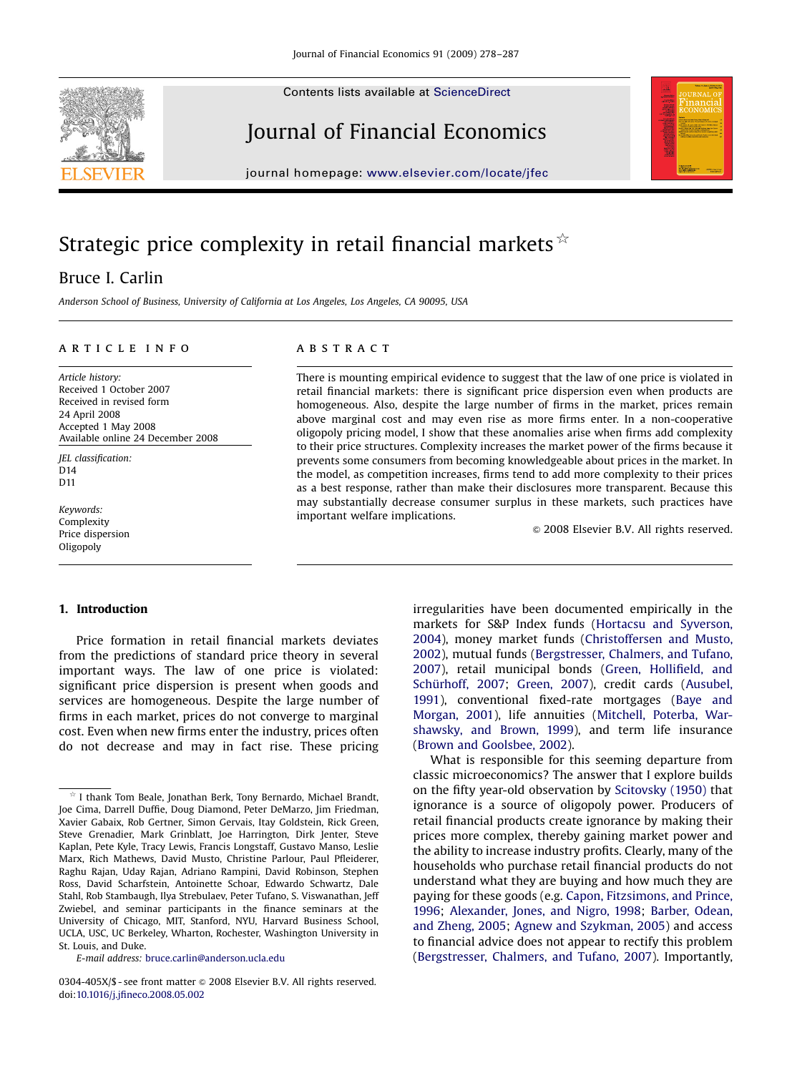Contents lists available at [ScienceDirect](www.elsevier.com/locate/jfec)







journal homepage: <www.elsevier.com/locate/jfec>

# Strategic price complexity in retail financial markets  $\mathbb{\hat{R}}$

## Bruce I. Carlin

Anderson School of Business, University of California at Los Angeles, Los Angeles, CA 90095, USA

### article info

Article history: Received 1 October 2007 Received in revised form 24 April 2008 Accepted 1 May 2008 Available online 24 December 2008

JEL classification: D<sub>14</sub> D11

Keywords: Complexity Price dispersion Oligopoly

## 1. Introduction

Price formation in retail financial markets deviates from the predictions of standard price theory in several important ways. The law of one price is violated: significant price dispersion is present when goods and services are homogeneous. Despite the large number of firms in each market, prices do not converge to marginal cost. Even when new firms enter the industry, prices often do not decrease and may in fact rise. These pricing

### **ABSTRACT**

There is mounting empirical evidence to suggest that the law of one price is violated in retail financial markets: there is significant price dispersion even when products are homogeneous. Also, despite the large number of firms in the market, prices remain above marginal cost and may even rise as more firms enter. In a non-cooperative oligopoly pricing model, I show that these anomalies arise when firms add complexity to their price structures. Complexity increases the market power of the firms because it prevents some consumers from becoming knowledgeable about prices in the market. In the model, as competition increases, firms tend to add more complexity to their prices as a best response, rather than make their disclosures more transparent. Because this may substantially decrease consumer surplus in these markets, such practices have important welfare implications.

 $© 2008 Elsevier B.V. All rights reserved.$ 

irregularities have been documented empirically in the markets for S&P Index funds ([Hortacsu and Syverson,](#page--1-0) [2004](#page--1-0)), money market funds ([Christoffersen and Musto,](#page--1-0) [2002](#page--1-0)), mutual funds ([Bergstresser, Chalmers, and Tufano,](#page--1-0) [2007](#page--1-0)), retail municipal bonds ([Green, Hollifield, and](#page--1-0) Schü[rhoff, 2007](#page--1-0); [Green, 2007\)](#page--1-0), credit cards ([Ausubel,](#page--1-0) [1991](#page--1-0)), conventional fixed-rate mortgages ([Baye and](#page--1-0) [Morgan, 2001\)](#page--1-0), life annuities [\(Mitchell, Poterba, War](#page--1-0)[shawsky, and Brown, 1999\)](#page--1-0), and term life insurance [\(Brown and Goolsbee, 2002\)](#page--1-0).

What is responsible for this seeming departure from classic microeconomics? The answer that I explore builds on the fifty year-old observation by [Scitovsky \(1950\)](#page--1-0) that ignorance is a source of oligopoly power. Producers of retail financial products create ignorance by making their prices more complex, thereby gaining market power and the ability to increase industry profits. Clearly, many of the households who purchase retail financial products do not understand what they are buying and how much they are paying for these goods (e.g. [Capon, Fitzsimons, and Prince,](#page--1-0) [1996;](#page--1-0) [Alexander, Jones, and Nigro, 1998;](#page--1-0) [Barber, Odean,](#page--1-0) [and Zheng, 2005](#page--1-0); [Agnew and Szykman, 2005](#page--1-0)) and access to financial advice does not appear to rectify this problem [\(Bergstresser, Chalmers, and Tufano, 2007](#page--1-0)). Importantly,

 $*$  I thank Tom Beale, Jonathan Berk, Tony Bernardo, Michael Brandt, Joe Cima, Darrell Duffie, Doug Diamond, Peter DeMarzo, Jim Friedman, Xavier Gabaix, Rob Gertner, Simon Gervais, Itay Goldstein, Rick Green, Steve Grenadier, Mark Grinblatt, Joe Harrington, Dirk Jenter, Steve Kaplan, Pete Kyle, Tracy Lewis, Francis Longstaff, Gustavo Manso, Leslie Marx, Rich Mathews, David Musto, Christine Parlour, Paul Pfleiderer, Raghu Rajan, Uday Rajan, Adriano Rampini, David Robinson, Stephen Ross, David Scharfstein, Antoinette Schoar, Edwardo Schwartz, Dale Stahl, Rob Stambaugh, Ilya Strebulaev, Peter Tufano, S. Viswanathan, Jeff Zwiebel, and seminar participants in the finance seminars at the University of Chicago, MIT, Stanford, NYU, Harvard Business School, UCLA, USC, UC Berkeley, Wharton, Rochester, Washington University in St. Louis, and Duke.

E-mail address: [bruce.carlin@anderson.ucla.edu](mailto:bruce.carlin@anderson.ucla.edu)

<sup>0304-405</sup>X/\$ - see front matter  $\odot$  2008 Elsevier B.V. All rights reserved. doi:[10.1016/j.jfineco.2008.05.002](dx.doi.org/10.1016/j.jfineco.2008.05.002)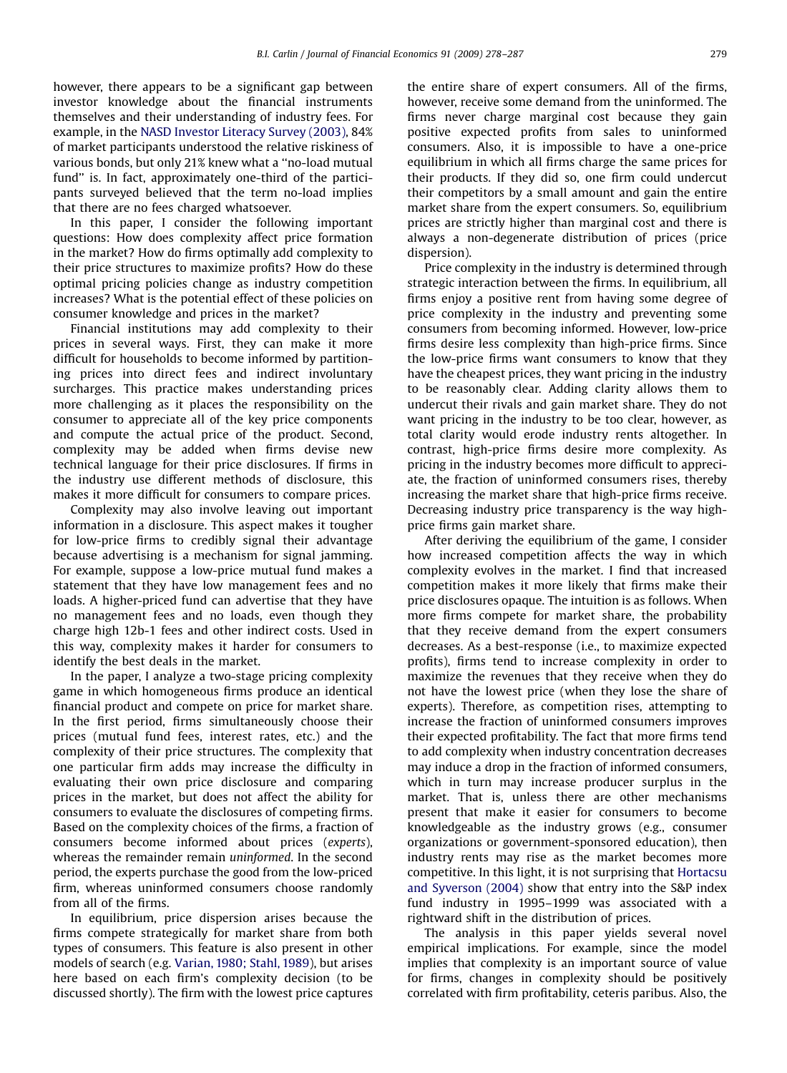however, there appears to be a significant gap between investor knowledge about the financial instruments themselves and their understanding of industry fees. For example, in the [NASD Investor Literacy Survey \(2003\)](#page--1-0), 84% of market participants understood the relative riskiness of various bonds, but only 21% knew what a ''no-load mutual fund'' is. In fact, approximately one-third of the participants surveyed believed that the term no-load implies that there are no fees charged whatsoever.

In this paper, I consider the following important questions: How does complexity affect price formation in the market? How do firms optimally add complexity to their price structures to maximize profits? How do these optimal pricing policies change as industry competition increases? What is the potential effect of these policies on consumer knowledge and prices in the market?

Financial institutions may add complexity to their prices in several ways. First, they can make it more difficult for households to become informed by partitioning prices into direct fees and indirect involuntary surcharges. This practice makes understanding prices more challenging as it places the responsibility on the consumer to appreciate all of the key price components and compute the actual price of the product. Second, complexity may be added when firms devise new technical language for their price disclosures. If firms in the industry use different methods of disclosure, this makes it more difficult for consumers to compare prices.

Complexity may also involve leaving out important information in a disclosure. This aspect makes it tougher for low-price firms to credibly signal their advantage because advertising is a mechanism for signal jamming. For example, suppose a low-price mutual fund makes a statement that they have low management fees and no loads. A higher-priced fund can advertise that they have no management fees and no loads, even though they charge high 12b-1 fees and other indirect costs. Used in this way, complexity makes it harder for consumers to identify the best deals in the market.

In the paper, I analyze a two-stage pricing complexity game in which homogeneous firms produce an identical financial product and compete on price for market share. In the first period, firms simultaneously choose their prices (mutual fund fees, interest rates, etc.) and the complexity of their price structures. The complexity that one particular firm adds may increase the difficulty in evaluating their own price disclosure and comparing prices in the market, but does not affect the ability for consumers to evaluate the disclosures of competing firms. Based on the complexity choices of the firms, a fraction of consumers become informed about prices (experts), whereas the remainder remain uninformed. In the second period, the experts purchase the good from the low-priced firm, whereas uninformed consumers choose randomly from all of the firms.

In equilibrium, price dispersion arises because the firms compete strategically for market share from both types of consumers. This feature is also present in other models of search (e.g. [Varian, 1980; Stahl, 1989](#page--1-0)), but arises here based on each firm's complexity decision (to be discussed shortly). The firm with the lowest price captures the entire share of expert consumers. All of the firms, however, receive some demand from the uninformed. The firms never charge marginal cost because they gain positive expected profits from sales to uninformed consumers. Also, it is impossible to have a one-price equilibrium in which all firms charge the same prices for their products. If they did so, one firm could undercut their competitors by a small amount and gain the entire market share from the expert consumers. So, equilibrium prices are strictly higher than marginal cost and there is always a non-degenerate distribution of prices (price dispersion).

Price complexity in the industry is determined through strategic interaction between the firms. In equilibrium, all firms enjoy a positive rent from having some degree of price complexity in the industry and preventing some consumers from becoming informed. However, low-price firms desire less complexity than high-price firms. Since the low-price firms want consumers to know that they have the cheapest prices, they want pricing in the industry to be reasonably clear. Adding clarity allows them to undercut their rivals and gain market share. They do not want pricing in the industry to be too clear, however, as total clarity would erode industry rents altogether. In contrast, high-price firms desire more complexity. As pricing in the industry becomes more difficult to appreciate, the fraction of uninformed consumers rises, thereby increasing the market share that high-price firms receive. Decreasing industry price transparency is the way highprice firms gain market share.

After deriving the equilibrium of the game, I consider how increased competition affects the way in which complexity evolves in the market. I find that increased competition makes it more likely that firms make their price disclosures opaque. The intuition is as follows. When more firms compete for market share, the probability that they receive demand from the expert consumers decreases. As a best-response (i.e., to maximize expected profits), firms tend to increase complexity in order to maximize the revenues that they receive when they do not have the lowest price (when they lose the share of experts). Therefore, as competition rises, attempting to increase the fraction of uninformed consumers improves their expected profitability. The fact that more firms tend to add complexity when industry concentration decreases may induce a drop in the fraction of informed consumers, which in turn may increase producer surplus in the market. That is, unless there are other mechanisms present that make it easier for consumers to become knowledgeable as the industry grows (e.g., consumer organizations or government-sponsored education), then industry rents may rise as the market becomes more competitive. In this light, it is not surprising that [Hortacsu](#page--1-0) [and Syverson \(2004\)](#page--1-0) show that entry into the S&P index fund industry in 1995–1999 was associated with a rightward shift in the distribution of prices.

The analysis in this paper yields several novel empirical implications. For example, since the model implies that complexity is an important source of value for firms, changes in complexity should be positively correlated with firm profitability, ceteris paribus. Also, the